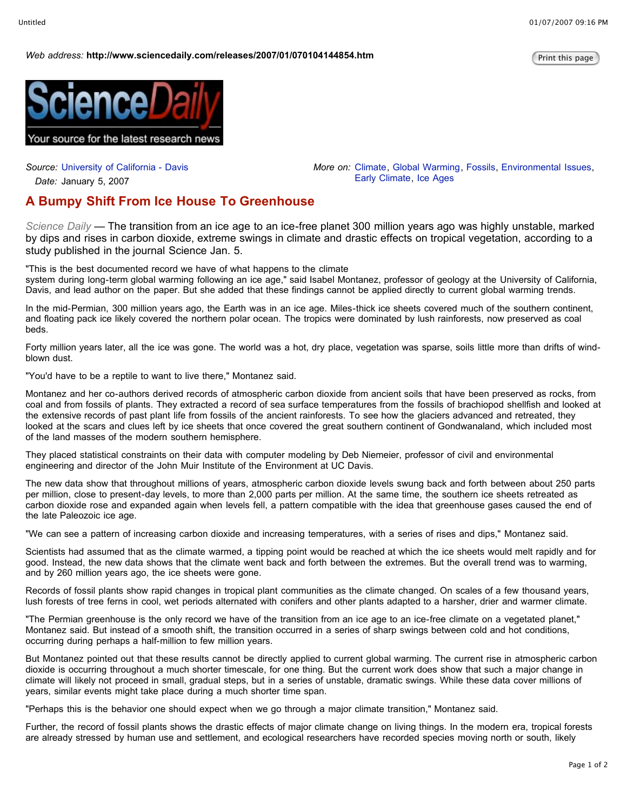## *Web* address: http://www.sciencedaily.com/releases/2007/01/070104144854.htm

*More on:* Climate, Global Warming, Fossils, Environmental Issues,

Early Climate, Ice Ages



*Source:* University of California - Davis

*Date:* January 5, 2007

## **A Bumpy Shift From Ice House To Greenhouse**

*Science Daily —* The transition from an ice age to an ice-free planet 300 million years ago was highly unstable, marked by dips and rises in carbon dioxide, extreme swings in climate and drastic effects on tropical vegetation, according to a study published in the journal Science Jan. 5.

"This is the best documented record we have of what happens to the climate

system during long-term global warming following an ice age," said Isabel Montanez, professor of geology at the University of California, Davis, and lead author on the paper. But she added that these findings cannot be applied directly to current global warming trends.

In the mid-Permian, 300 million years ago, the Earth was in an ice age. Miles-thick ice sheets covered much of the southern continent, and floating pack ice likely covered the northern polar ocean. The tropics were dominated by lush rainforests, now preserved as coal beds.

Forty million years later, all the ice was gone. The world was a hot, dry place, vegetation was sparse, soils little more than drifts of windblown dust.

"You'd have to be a reptile to want to live there," Montanez said.

Montanez and her co-authors derived records of atmospheric carbon dioxide from ancient soils that have been preserved as rocks, from coal and from fossils of plants. They extracted a record of sea surface temperatures from the fossils of brachiopod shellfish and looked at the extensive records of past plant life from fossils of the ancient rainforests. To see how the glaciers advanced and retreated, they looked at the scars and clues left by ice sheets that once covered the great southern continent of Gondwanaland, which included most of the land masses of the modern southern hemisphere.

They placed statistical constraints on their data with computer modeling by Deb Niemeier, professor of civil and environmental engineering and director of the John Muir Institute of the Environment at UC Davis.

The new data show that throughout millions of years, atmospheric carbon dioxide levels swung back and forth between about 250 parts per million, close to present-day levels, to more than 2,000 parts per million. At the same time, the southern ice sheets retreated as carbon dioxide rose and expanded again when levels fell, a pattern compatible with the idea that greenhouse gases caused the end of the late Paleozoic ice age.

"We can see a pattern of increasing carbon dioxide and increasing temperatures, with a series of rises and dips," Montanez said.

Scientists had assumed that as the climate warmed, a tipping point would be reached at which the ice sheets would melt rapidly and for good. Instead, the new data shows that the climate went back and forth between the extremes. But the overall trend was to warming, and by 260 million years ago, the ice sheets were gone.

Records of fossil plants show rapid changes in tropical plant communities as the climate changed. On scales of a few thousand years, lush forests of tree ferns in cool, wet periods alternated with conifers and other plants adapted to a harsher, drier and warmer climate.

"The Permian greenhouse is the only record we have of the transition from an ice age to an ice-free climate on a vegetated planet," Montanez said. But instead of a smooth shift, the transition occurred in a series of sharp swings between cold and hot conditions, occurring during perhaps a half-million to few million years.

But Montanez pointed out that these results cannot be directly applied to current global warming. The current rise in atmospheric carbon dioxide is occurring throughout a much shorter timescale, for one thing. But the current work does show that such a major change in climate will likely not proceed in small, gradual steps, but in a series of unstable, dramatic swings. While these data cover millions of years, similar events might take place during a much shorter time span.

"Perhaps this is the behavior one should expect when we go through a major climate transition," Montanez said.

Further, the record of fossil plants shows the drastic effects of major climate change on living things. In the modern era, tropical forests are already stressed by human use and settlement, and ecological researchers have recorded species moving north or south, likely